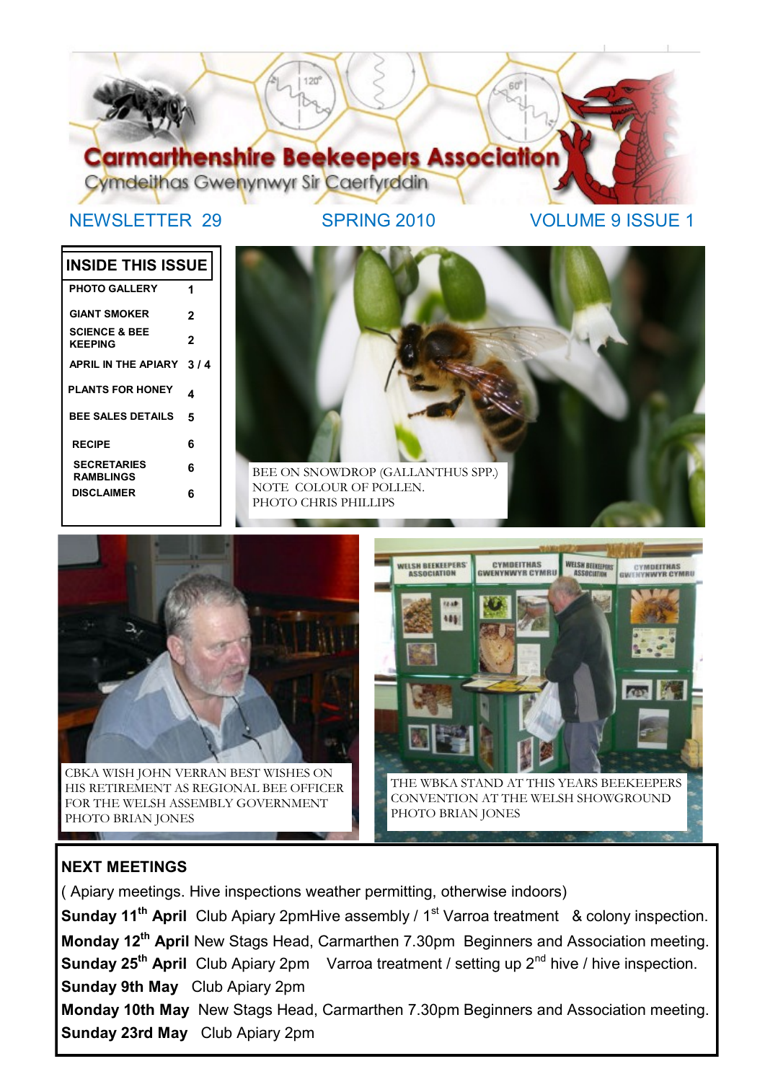

NEWSLETTER 29 SPRING 2010 VOLUME 9 ISSUE 1

# **INSIDE THIS ISSUE**

| <b>PHOTO GALLERY</b>                       |     |
|--------------------------------------------|-----|
| <b>GIANT SMOKER</b>                        | 2   |
| <b>SCIENCE &amp; BEE</b><br><b>KEEPING</b> | 2   |
| <b>APRIL IN THE APIARY</b>                 | 3/4 |
| <b>PLANTS FOR HONEY</b>                    | 4   |
| <b>BEE SALES DETAILS</b>                   | 5   |
| <b>RECIPE</b>                              | 6   |
| <b>SECRETARIES</b><br><b>RAMBLINGS</b>     | 6   |
| <b>DISCLAIMER</b>                          | 6   |





HIS RETIREMENT AS REGIONAL BEE OFFICER FOR THE WELSH ASSEMBLY GOVERNMENT PHOTO BRIAN JONES



## **NEXT MEETINGS**

( Apiary meetings. Hive inspections weather permitting, otherwise indoors) **Sunday 11<sup>th</sup> April** Club Apiary 2pmHive assembly / 1<sup>st</sup> Varroa treatment & colony inspection. **Monday 12th April** New Stags Head, Carmarthen 7.30pm Beginners and Association meeting. **Sunday 25<sup>th</sup> April** Club Apiary 2pm Varroa treatment / setting up 2<sup>nd</sup> hive / hive inspection. **Sunday 9th May** Club Apiary 2pm **Monday 10th May** New Stags Head, Carmarthen 7.30pm Beginners and Association meeting. **Sunday 23rd May** Club Apiary 2pm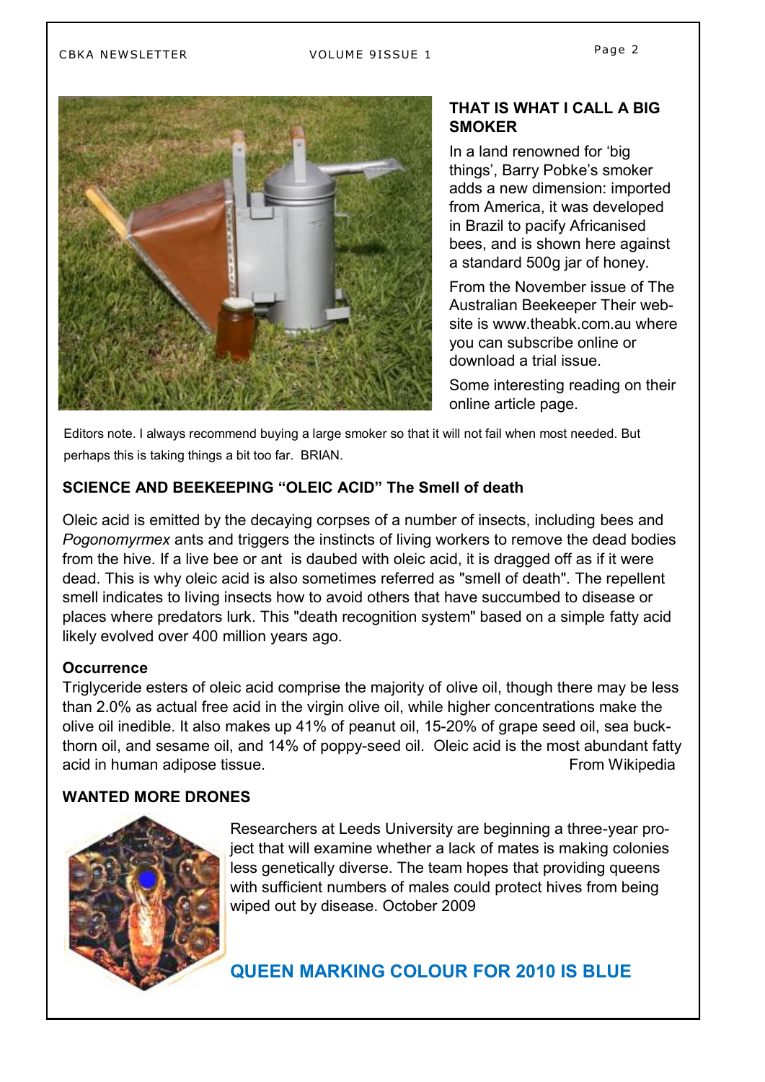## CBKA NEWSLETTER VOLUME 9ISSUE 1



### **THAT IS WHAT I CALL A BIG SMOKER**

In a land renowned for "big things', Barry Pobke's smoker adds a new dimension: imported from America, it was developed in Brazil to pacify Africanised bees, and is shown here against a standard 500g jar of honey.

From the November issue of The Australian Beekeeper Their website is www.theabk.com.au where you can subscribe online or download a trial issue.

Some interesting reading on their online article page.

Editors note. I always recommend buying a large smoker so that it will not fail when most needed. But perhaps this is taking things a bit too far. BRIAN.

## **SCIENCE AND BEEKEEPING "OLEIC ACID" The Smell of death**

Oleic acid is emitted by the decaying corpses of a number of insects, including [bees](http://en.wikipedia.org/wiki/Bee) and *[Pogonomyrmex](http://en.wikipedia.org/wiki/Pogonomyrmex)* [ants](http://en.wikipedia.org/wiki/Ant) and triggers the instincts of living workers to remove the dead bodies from the [hive.](http://en.wikipedia.org/wiki/Hive) If a live bee or ant is daubed with oleic acid, it is dragged off as if it were dead. This is why oleic acid is also sometimes referred as "smell of death". The repellent smell indicates to living insects how to avoid others that have succumbed to disease or places where predators lurk. This "death recognition system" based on a simple [fatty acid](http://en.wikipedia.org/wiki/Fatty_acid) likely evolved over 400 million years ago.

#### **Occurrence**

Triglyceride esters of oleic acid comprise the majority of [olive oil,](http://en.wikipedia.org/wiki/Olive_oil) though there may be less than 2.0% as actual free acid in the virgin olive oil, while higher concentrations make the olive oil inedible. It also makes up 41% of [peanut oil,](http://en.wikipedia.org/wiki/Peanut_oil) 15-20% of [grape seed oil,](http://en.wikipedia.org/wiki/Grape_seed_oil) [sea buck](http://en.wikipedia.org/wiki/Sea_buckthorn_oil)[thorn oil,](http://en.wikipedia.org/wiki/Sea_buckthorn_oil) and [sesame oil,](http://en.wikipedia.org/wiki/Sesame_oil) and 14% of [poppy-seed oil.](http://en.wikipedia.org/wiki/Poppyseed_oil) Oleic acid is the most abundant fatty acid in human [adipose tissue.](http://en.wikipedia.org/wiki/Adipose_tissue) The same of the set of the set of the set of the set of the set of the set of the set of the set of the set of the set of the set of the set of the set of the set of the set of the set of the

### **WANTED MORE DRONES**



Researchers at Leeds University are beginning a three-year project that will examine whether a lack of mates is making colonies less genetically diverse. The team hopes that providing queens with sufficient numbers of males could protect hives from being wiped out by disease. October 2009

**QUEEN MARKING COLOUR FOR 2010 IS BLUE**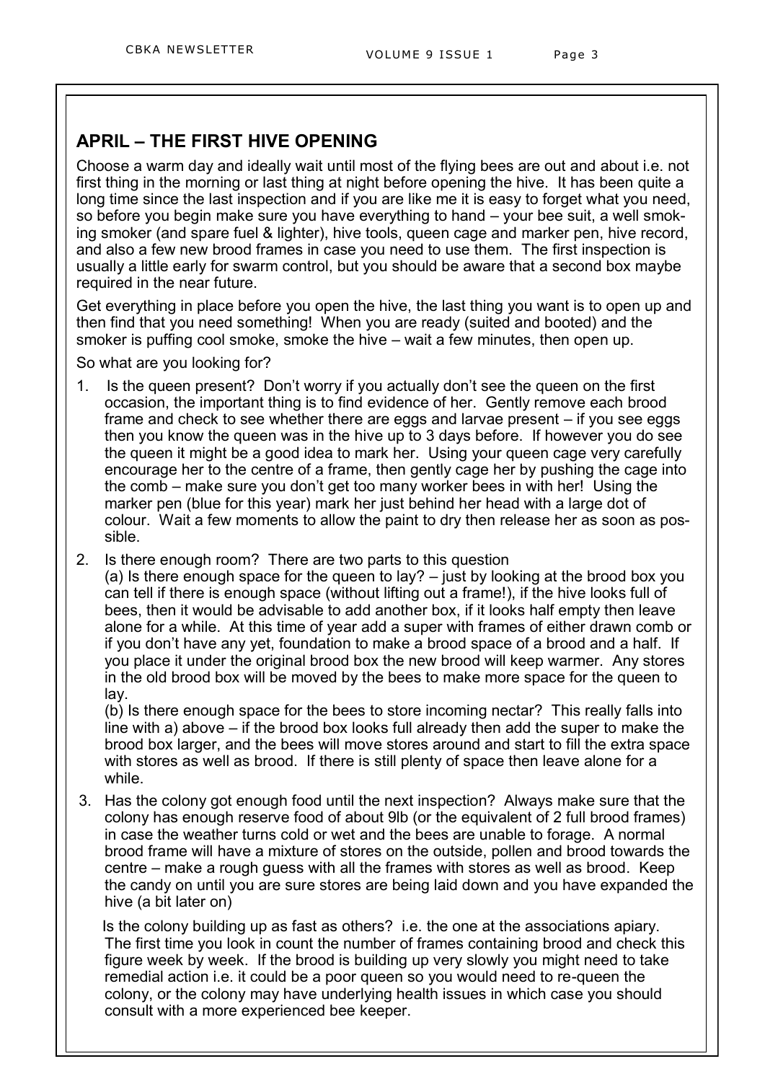# **APRIL – THE FIRST HIVE OPENING**

Choose a warm day and ideally wait until most of the flying bees are out and about i.e. not first thing in the morning or last thing at night before opening the hive. It has been quite a long time since the last inspection and if you are like me it is easy to forget what you need, so before you begin make sure you have everything to hand – your bee suit, a well smoking smoker (and spare fuel & lighter), hive tools, queen cage and marker pen, hive record, and also a few new brood frames in case you need to use them. The first inspection is usually a little early for swarm control, but you should be aware that a second box maybe required in the near future.

Get everything in place before you open the hive, the last thing you want is to open up and then find that you need something! When you are ready (suited and booted) and the smoker is puffing cool smoke, smoke the hive – wait a few minutes, then open up.

So what are you looking for?

- 1. Is the queen present? Don"t worry if you actually don"t see the queen on the first occasion, the important thing is to find evidence of her. Gently remove each brood frame and check to see whether there are eggs and larvae present – if you see eggs then you know the queen was in the hive up to 3 days before. If however you do see the queen it might be a good idea to mark her. Using your queen cage very carefully encourage her to the centre of a frame, then gently cage her by pushing the cage into the comb – make sure you don"t get too many worker bees in with her! Using the marker pen (blue for this year) mark her just behind her head with a large dot of colour. Wait a few moments to allow the paint to dry then release her as soon as possible.
- 2. Is there enough room? There are two parts to this question

(a) Is there enough space for the queen to lay? – just by looking at the brood box you can tell if there is enough space (without lifting out a frame!), if the hive looks full of bees, then it would be advisable to add another box, if it looks half empty then leave alone for a while. At this time of year add a super with frames of either drawn comb or if you don"t have any yet, foundation to make a brood space of a brood and a half. If you place it under the original brood box the new brood will keep warmer. Any stores in the old brood box will be moved by the bees to make more space for the queen to lay.

(b) Is there enough space for the bees to store incoming nectar? This really falls into line with a) above – if the brood box looks full already then add the super to make the brood box larger, and the bees will move stores around and start to fill the extra space with stores as well as brood. If there is still plenty of space then leave alone for a while.

3. Has the colony got enough food until the next inspection? Always make sure that the colony has enough reserve food of about 9lb (or the equivalent of 2 full brood frames) in case the weather turns cold or wet and the bees are unable to forage. A normal brood frame will have a mixture of stores on the outside, pollen and brood towards the centre – make a rough guess with all the frames with stores as well as brood. Keep the candy on until you are sure stores are being laid down and you have expanded the hive (a bit later on)

Is the colony building up as fast as others? i.e. the one at the associations apiary. The first time you look in count the number of frames containing brood and check this figure week by week. If the brood is building up very slowly you might need to take remedial action i.e. it could be a poor queen so you would need to re-queen the colony, or the colony may have underlying health issues in which case you should consult with a more experienced bee keeper.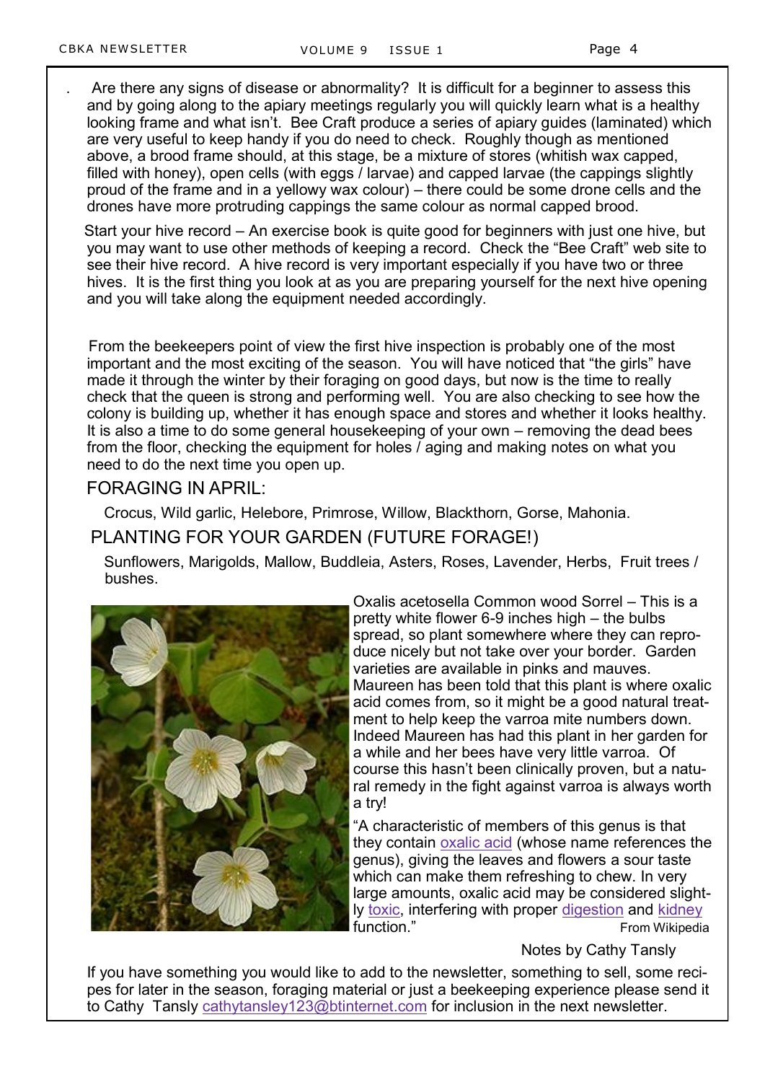. Are there any signs of disease or abnormality? It is difficult for a beginner to assess this and by going along to the apiary meetings regularly you will quickly learn what is a healthy looking frame and what isn't. Bee Craft produce a series of apiary guides (laminated) which are very useful to keep handy if you do need to check. Roughly though as mentioned above, a brood frame should, at this stage, be a mixture of stores (whitish wax capped, filled with honey), open cells (with eggs / larvae) and capped larvae (the cappings slightly proud of the frame and in a yellowy wax colour) – there could be some drone cells and the drones have more protruding cappings the same colour as normal capped brood.

Start your hive record – An exercise book is quite good for beginners with just one hive, but you may want to use other methods of keeping a record. Check the "Bee Craft" web site to see their hive record. A hive record is very important especially if you have two or three hives. It is the first thing you look at as you are preparing yourself for the next hive opening and you will take along the equipment needed accordingly.

 From the beekeepers point of view the first hive inspection is probably one of the most important and the most exciting of the season. You will have noticed that "the girls" have made it through the winter by their foraging on good days, but now is the time to really check that the queen is strong and performing well. You are also checking to see how the colony is building up, whether it has enough space and stores and whether it looks healthy. It is also a time to do some general housekeeping of your own – removing the dead bees from the floor, checking the equipment for holes / aging and making notes on what you need to do the next time you open up.

### FORAGING IN APRIL:

Crocus, Wild garlic, Helebore, Primrose, Willow, Blackthorn, Gorse, Mahonia.

## PLANTING FOR YOUR GARDEN (FUTURE FORAGE!)

Sunflowers, Marigolds, Mallow, Buddleia, Asters, Roses, Lavender, Herbs, Fruit trees / bushes.



Oxalis acetosella Common wood Sorrel – This is a pretty white flower 6-9 inches high – the bulbs spread, so plant somewhere where they can reproduce nicely but not take over your border. Garden varieties are available in pinks and mauves. Maureen has been told that this plant is where oxalic acid comes from, so it might be a good natural treatment to help keep the varroa mite numbers down. Indeed Maureen has had this plant in her garden for a while and her bees have very little varroa. Of course this hasn"t been clinically proven, but a natural remedy in the fight against varroa is always worth a try!

"A characteristic of members of this genus is that they contain [oxalic acid](http://en.wikipedia.org/wiki/Oxalic_acid) (whose name references the genus), giving the leaves and flowers a sour taste which can make them refreshing to chew. In very large amounts, oxalic acid may be considered slightly [toxic,](http://en.wikipedia.org/wiki/Toxic) interfering with proper [digestion](http://en.wikipedia.org/wiki/Digestion) and [kidney](http://en.wikipedia.org/wiki/Kidney) function." The Contraction of the Contraction of the From Wikipedia

Notes by Cathy Tansly

If you have something you would like to add to the newsletter, something to sell, some recipes for later in the season, foraging material or just a beekeeping experience please send it to Cathy Tansly [cathytansley123@btinternet.com](mailto:cathytansley123@btinternet.com) for inclusion in the next newsletter.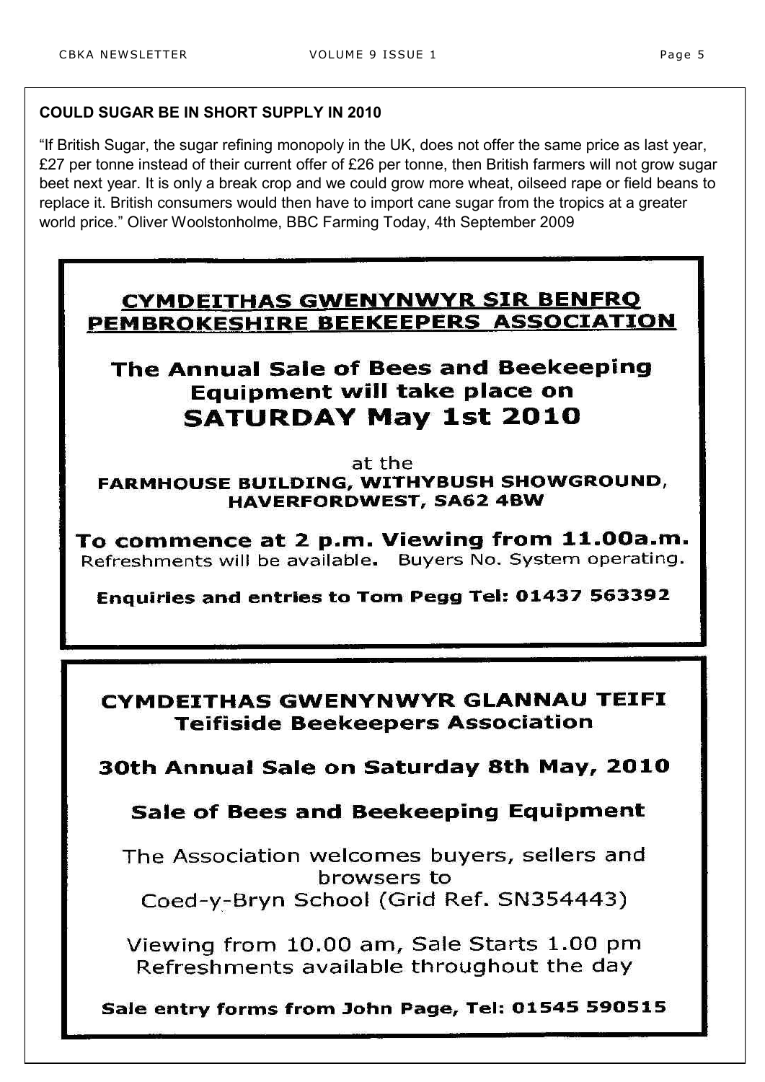## **COULD SUGAR BE IN SHORT SUPPLY IN 2010**

"If British Sugar, the sugar refining monopoly in the UK, does not offer the same price as last year, £27 per tonne instead of their current offer of £26 per tonne, then British farmers will not grow sugar beet next year. It is only a break crop and we could grow more wheat, oilseed rape or field beans to replace it. British consumers would then have to import cane sugar from the tropics at a greater world price." Oliver Woolstonholme, BBC Farming Today, 4th September 2009

# **CYMDEITHAS GWENYNWYR SIR BENFRQ** PEMBROKESHIRE BEEKEEPERS ASSOCIATION

# The Annual Sale of Bees and Beekeeping Equipment will take place on **SATURDAY May 1st 2010**

at the

FARMHOUSE BUILDING, WITHYBUSH SHOWGROUND, **HAVERFORDWEST, SA62 4BW** 

To commence at 2 p.m. Viewing from 11.00a.m. Refreshments will be available. Buyers No. System operating.

Enquiries and entries to Tom Pegg Tel: 01437 563392

## CYMDEITHAS GWENYNWYR GLANNAU TEIFI **Teifiside Beekeepers Association**

30th Annual Sale on Saturday 8th May, 2010

# Sale of Bees and Beekeeping Equipment

The Association welcomes buyers, sellers and browsers to Coed-y-Bryn School (Grid Ref. SN354443)

Viewing from 10.00 am, Sale Starts 1.00 pm Refreshments available throughout the day

Sale entry forms from John Page, Tel: 01545 590515